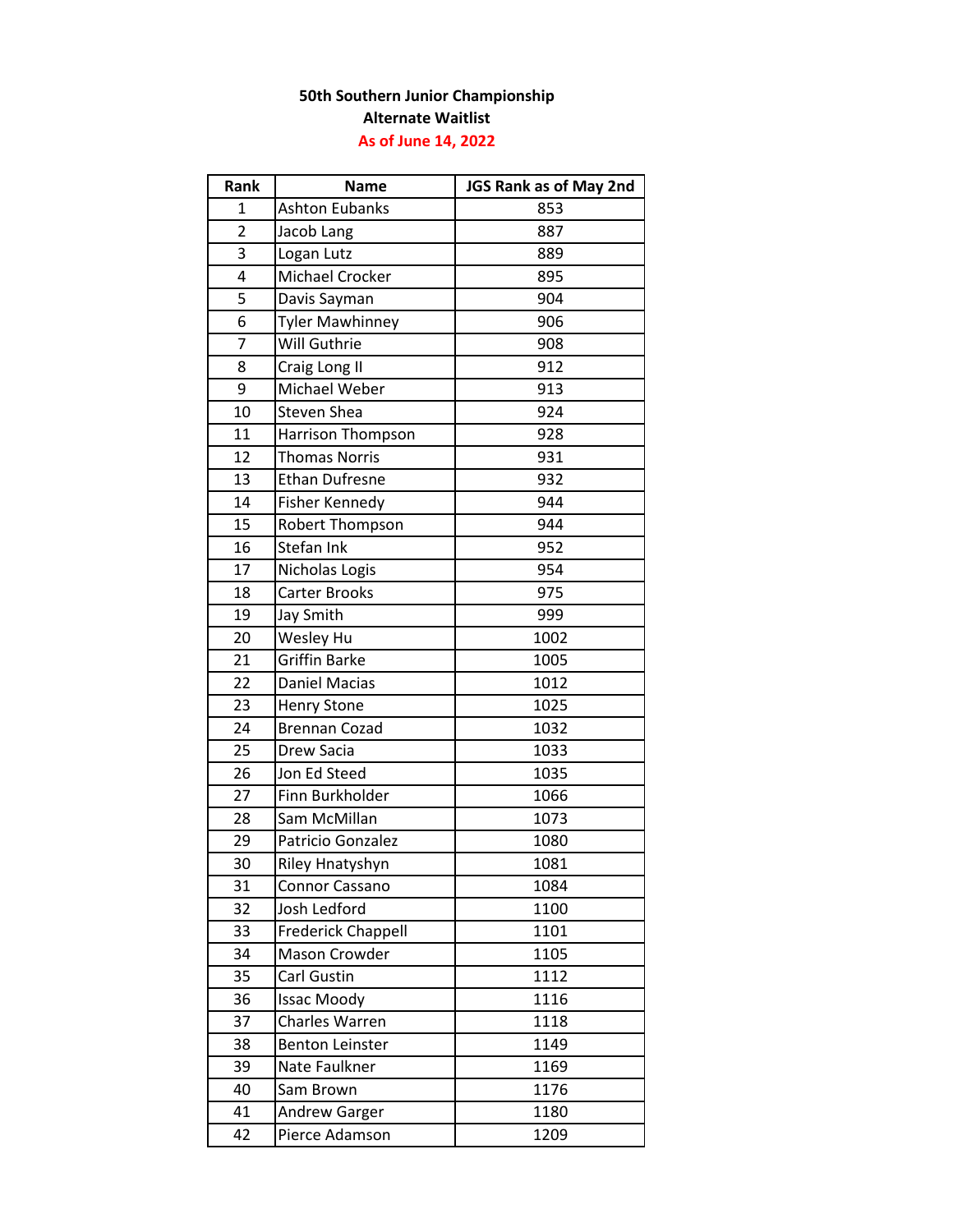## **50th Southern Junior Championship Alternate Waitlist As of June 14, 2022**

| Rank           | <b>Name</b>               | JGS Rank as of May 2nd |
|----------------|---------------------------|------------------------|
| $\mathbf{1}$   | <b>Ashton Eubanks</b>     | 853                    |
| $\overline{2}$ | Jacob Lang                | 887                    |
| 3              | Logan Lutz                | 889                    |
| 4              | <b>Michael Crocker</b>    | 895                    |
| 5              | Davis Sayman              | 904                    |
| 6              | <b>Tyler Mawhinney</b>    | 906                    |
| $\overline{7}$ | Will Guthrie              | 908                    |
| 8              | Craig Long II             | 912                    |
| 9              | Michael Weber             | 913                    |
| 10             | Steven Shea               | 924                    |
| 11             | Harrison Thompson         | 928                    |
| 12             | <b>Thomas Norris</b>      | 931                    |
| 13             | <b>Ethan Dufresne</b>     | 932                    |
| 14             | Fisher Kennedy            | 944                    |
| 15             | Robert Thompson           | 944                    |
| 16             | Stefan Ink                | 952                    |
| 17             | Nicholas Logis            | 954                    |
| 18             | Carter Brooks             | 975                    |
| 19             | Jay Smith                 | 999                    |
| 20             | Wesley Hu                 | 1002                   |
| 21             | Griffin Barke             | 1005                   |
| 22             | Daniel Macias             | 1012                   |
| 23             | <b>Henry Stone</b>        | 1025                   |
| 24             | <b>Brennan Cozad</b>      | 1032                   |
| 25             | Drew Sacia                | 1033                   |
| 26             | Jon Ed Steed              | 1035                   |
| 27             | Finn Burkholder           | 1066                   |
| 28             | Sam McMillan              | 1073                   |
| 29             | Patricio Gonzalez         | 1080                   |
| 30             | <b>Riley Hnatyshyn</b>    | 1081                   |
| 31             | Connor Cassano            | 1084                   |
| 32             | Josh Ledford              | 1100                   |
| 33             | <b>Frederick Chappell</b> | 1101                   |
| 34             | Mason Crowder             | 1105                   |
| 35             | Carl Gustin               | 1112                   |
| 36             | <b>Issac Moody</b>        | 1116                   |
| 37             | Charles Warren            | 1118                   |
| 38             | <b>Benton Leinster</b>    | 1149                   |
| 39             | Nate Faulkner             | 1169                   |
| 40             | Sam Brown                 | 1176                   |
| 41             | <b>Andrew Garger</b>      | 1180                   |
| 42             | Pierce Adamson            | 1209                   |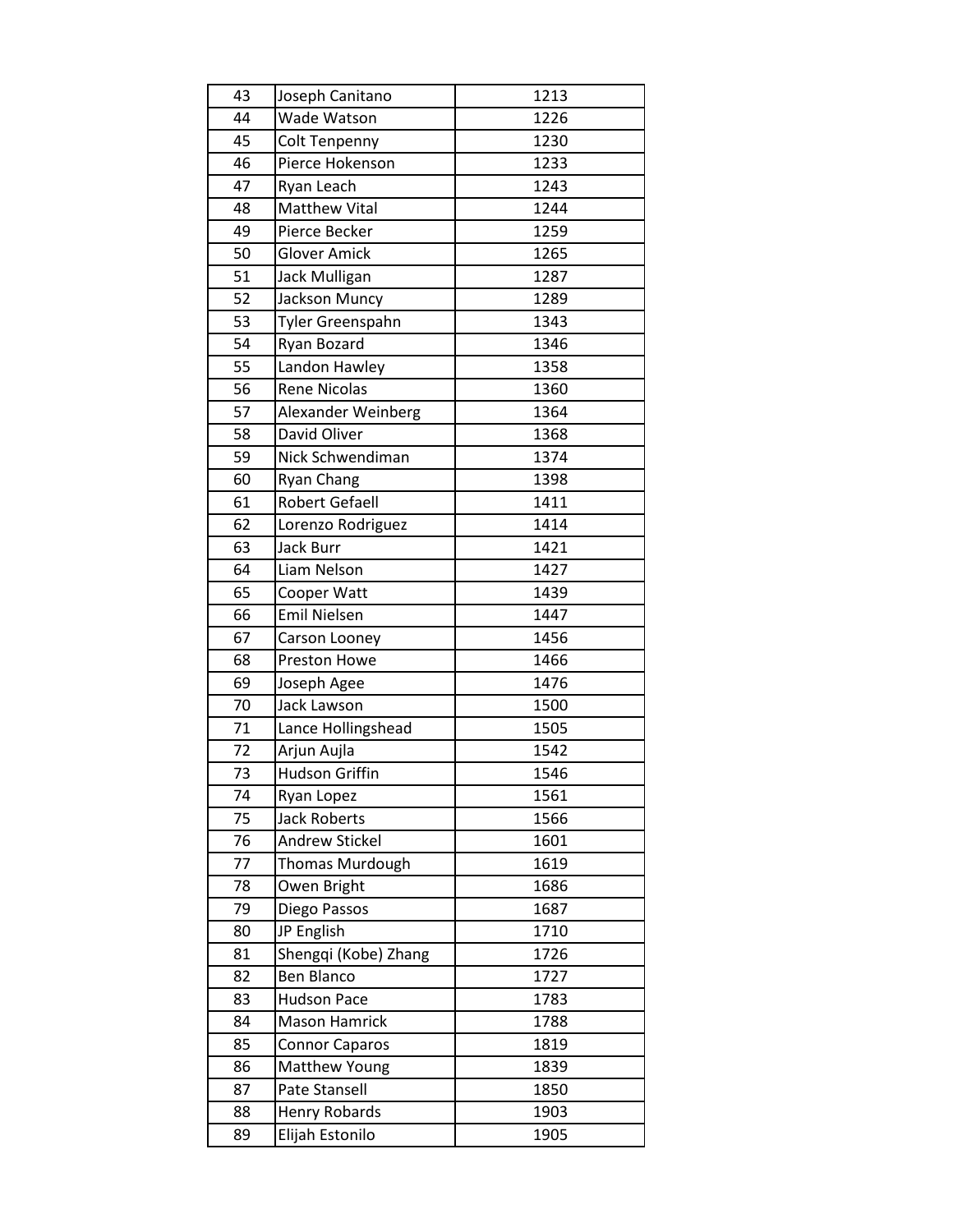| 43 | Joseph Canitano       | 1213 |
|----|-----------------------|------|
| 44 | Wade Watson           | 1226 |
| 45 | <b>Colt Tenpenny</b>  | 1230 |
| 46 | Pierce Hokenson       | 1233 |
| 47 | Ryan Leach            | 1243 |
| 48 | <b>Matthew Vital</b>  | 1244 |
| 49 | Pierce Becker         | 1259 |
| 50 | <b>Glover Amick</b>   | 1265 |
| 51 | Jack Mulligan         | 1287 |
| 52 | Jackson Muncy         | 1289 |
| 53 | Tyler Greenspahn      | 1343 |
| 54 | Ryan Bozard           | 1346 |
| 55 | Landon Hawley         | 1358 |
| 56 | <b>Rene Nicolas</b>   | 1360 |
| 57 | Alexander Weinberg    | 1364 |
| 58 | David Oliver          | 1368 |
| 59 | Nick Schwendiman      | 1374 |
| 60 | <b>Ryan Chang</b>     | 1398 |
| 61 | <b>Robert Gefaell</b> | 1411 |
| 62 | Lorenzo Rodriguez     | 1414 |
| 63 | <b>Jack Burr</b>      | 1421 |
| 64 | Liam Nelson           | 1427 |
| 65 | Cooper Watt           | 1439 |
| 66 | <b>Emil Nielsen</b>   | 1447 |
| 67 | Carson Looney         | 1456 |
| 68 | Preston Howe          | 1466 |
| 69 | Joseph Agee           | 1476 |
| 70 | Jack Lawson           | 1500 |
| 71 | Lance Hollingshead    | 1505 |
| 72 | Arjun Aujla           | 1542 |
| 73 | <b>Hudson Griffin</b> | 1546 |
| 74 | Ryan Lopez            | 1561 |
| 75 | <b>Jack Roberts</b>   | 1566 |
| 76 | <b>Andrew Stickel</b> | 1601 |
| 77 | Thomas Murdough       | 1619 |
| 78 | Owen Bright           | 1686 |
| 79 | Diego Passos          | 1687 |
| 80 | JP English            | 1710 |
| 81 | Shengqi (Kobe) Zhang  | 1726 |
| 82 | Ben Blanco            | 1727 |
| 83 | <b>Hudson Pace</b>    | 1783 |
| 84 | Mason Hamrick         | 1788 |
| 85 | <b>Connor Caparos</b> | 1819 |
| 86 | Matthew Young         | 1839 |
| 87 | Pate Stansell         | 1850 |
| 88 | Henry Robards         | 1903 |
| 89 | Elijah Estonilo       | 1905 |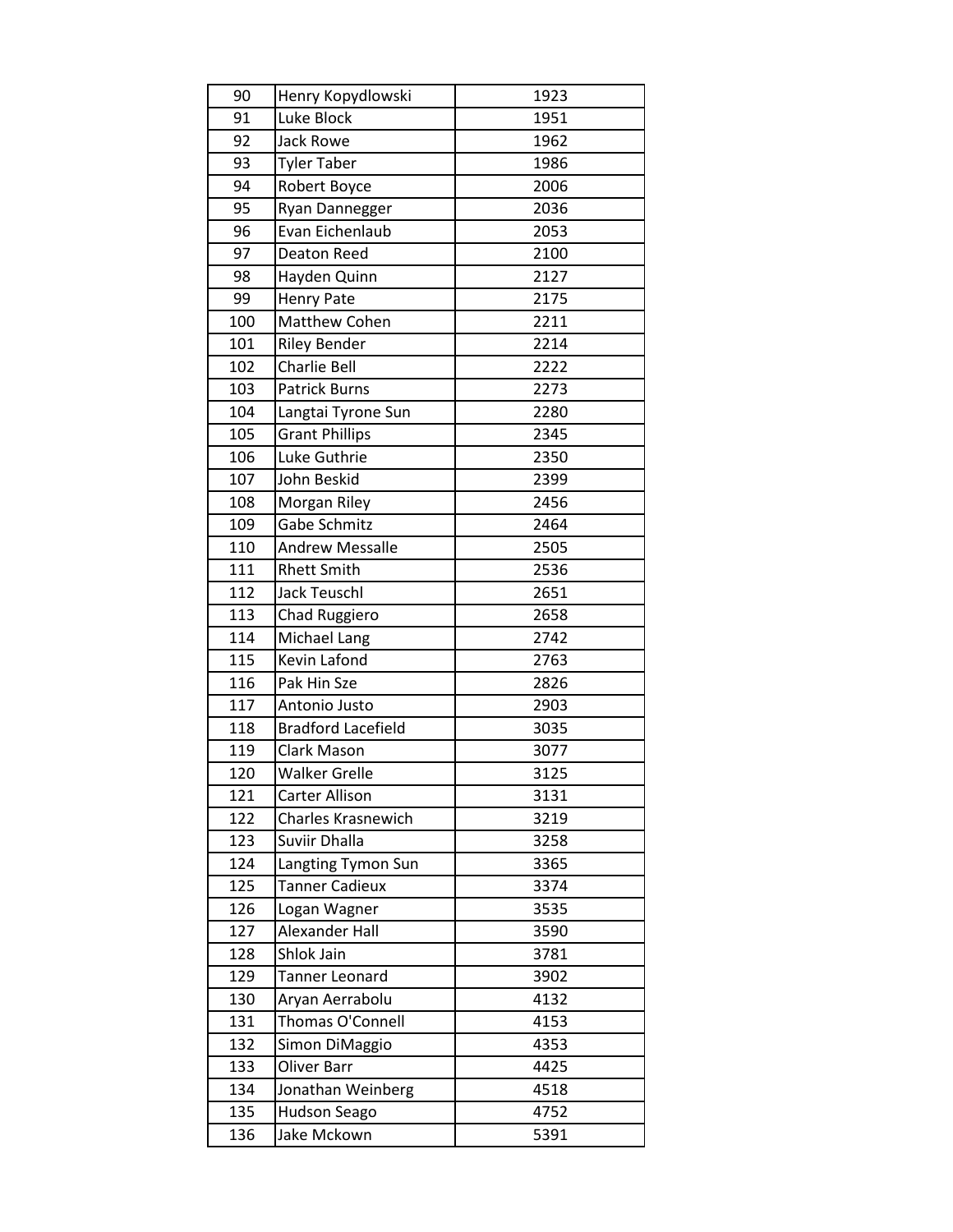| 90  | Henry Kopydlowski         | 1923 |
|-----|---------------------------|------|
| 91  | Luke Block                | 1951 |
| 92  | <b>Jack Rowe</b>          | 1962 |
| 93  | <b>Tyler Taber</b>        | 1986 |
| 94  | Robert Boyce              | 2006 |
| 95  | Ryan Dannegger            | 2036 |
| 96  | Evan Eichenlaub           | 2053 |
| 97  | Deaton Reed               | 2100 |
| 98  | Hayden Quinn              | 2127 |
| 99  | <b>Henry Pate</b>         | 2175 |
| 100 | Matthew Cohen             | 2211 |
| 101 | <b>Riley Bender</b>       | 2214 |
| 102 | Charlie Bell              | 2222 |
| 103 | <b>Patrick Burns</b>      | 2273 |
| 104 | Langtai Tyrone Sun        | 2280 |
| 105 | <b>Grant Phillips</b>     | 2345 |
| 106 | Luke Guthrie              | 2350 |
| 107 | John Beskid               | 2399 |
| 108 | Morgan Riley              | 2456 |
| 109 | Gabe Schmitz              | 2464 |
| 110 | <b>Andrew Messalle</b>    | 2505 |
| 111 | <b>Rhett Smith</b>        | 2536 |
| 112 | <b>Jack Teuschl</b>       | 2651 |
| 113 | Chad Ruggiero             | 2658 |
| 114 | Michael Lang              | 2742 |
| 115 | Kevin Lafond              | 2763 |
| 116 | Pak Hin Sze               | 2826 |
| 117 | Antonio Justo             | 2903 |
| 118 | <b>Bradford Lacefield</b> | 3035 |
| 119 | Clark Mason               | 3077 |
| 120 | <b>Walker Grelle</b>      | 3125 |
| 121 | <b>Carter Allison</b>     | 3131 |
| 122 | Charles Krasnewich        | 3219 |
| 123 | Suviir Dhalla             | 3258 |
| 124 | Langting Tymon Sun        | 3365 |
| 125 | <b>Tanner Cadieux</b>     | 3374 |
| 126 | Logan Wagner              | 3535 |
| 127 | Alexander Hall            | 3590 |
| 128 | Shlok Jain                | 3781 |
| 129 | <b>Tanner Leonard</b>     | 3902 |
| 130 | Aryan Aerrabolu           | 4132 |
| 131 | Thomas O'Connell          | 4153 |
| 132 | Simon DiMaggio            | 4353 |
| 133 | Oliver Barr               | 4425 |
| 134 | Jonathan Weinberg         | 4518 |
| 135 | <b>Hudson Seago</b>       | 4752 |
| 136 | Jake Mckown               | 5391 |